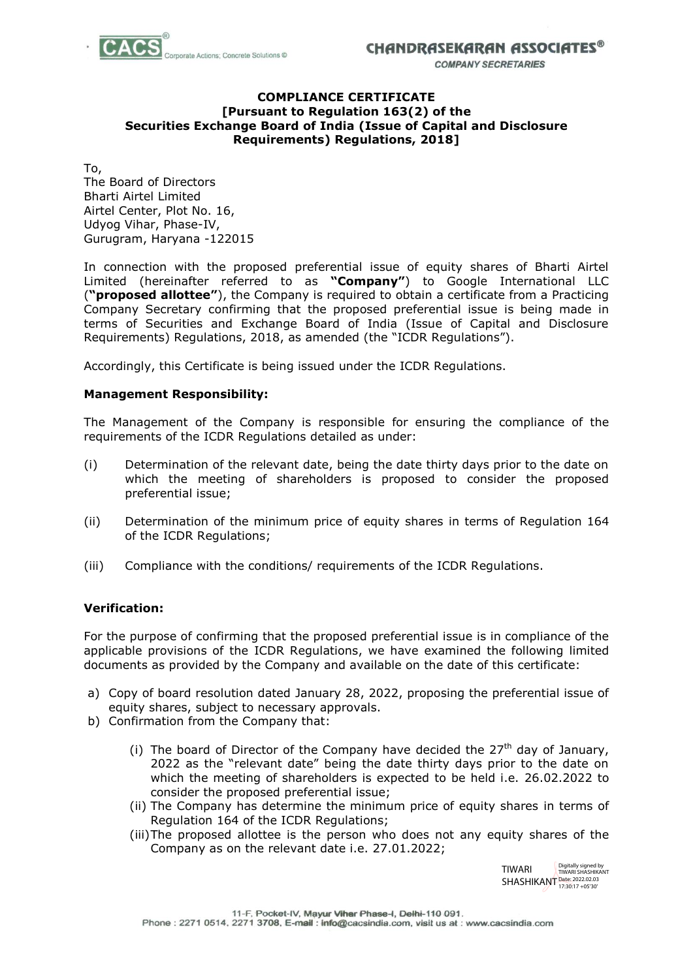

**COMPANY SECRETARIES** 

#### **COMPLIANCE CERTIFICATE [Pursuant to Regulation 163(2) of the Securities Exchange Board of India (Issue of Capital and Disclosure Requirements) Regulations, 2018]**

To, The Board of Directors Bharti Airtel Limited Airtel Center, Plot No. 16, Udyog Vihar, Phase-IV, Gurugram, Haryana -122015

In connection with the proposed preferential issue of equity shares of Bharti Airtel Limited (hereinafter referred to as **"Company"**) to Google International LLC (**"proposed allottee"**), the Company is required to obtain a certificate from a Practicing Company Secretary confirming that the proposed preferential issue is being made in terms of Securities and Exchange Board of India (Issue of Capital and Disclosure Requirements) Regulations, 2018, as amended (the "ICDR Regulations").

Accordingly, this Certificate is being issued under the ICDR Regulations.

## **Management Responsibility:**

The Management of the Company is responsible for ensuring the compliance of the requirements of the ICDR Regulations detailed as under:

- (i) Determination of the relevant date, being the date thirty days prior to the date on which the meeting of shareholders is proposed to consider the proposed preferential issue;
- (ii) Determination of the minimum price of equity shares in terms of Regulation 164 of the ICDR Regulations;
- (iii) Compliance with the conditions/ requirements of the ICDR Regulations.

## **Verification:**

For the purpose of confirming that the proposed preferential issue is in compliance of the applicable provisions of the ICDR Regulations, we have examined the following limited documents as provided by the Company and available on the date of this certificate:

- a) Copy of board resolution dated January 28, 2022, proposing the preferential issue of equity shares, subject to necessary approvals.
- b) Confirmation from the Company that:
	- (i) The board of Director of the Company have decided the  $27<sup>th</sup>$  day of January, 2022 as the "relevant date" being the date thirty days prior to the date on which the meeting of shareholders is expected to be held i.e. 26.02.2022 to consider the proposed preferential issue;
	- (ii) The Company has determine the minimum price of equity shares in terms of Regulation 164 of the ICDR Regulations;
	- (iii)The proposed allottee is the person who does not any equity shares of the Company as on the relevant date i.e. 27.01.2022;

TIWARI SHASHIKANT Date: 2022.02.03 Digitally signed by TIWARI SHASHIKANT